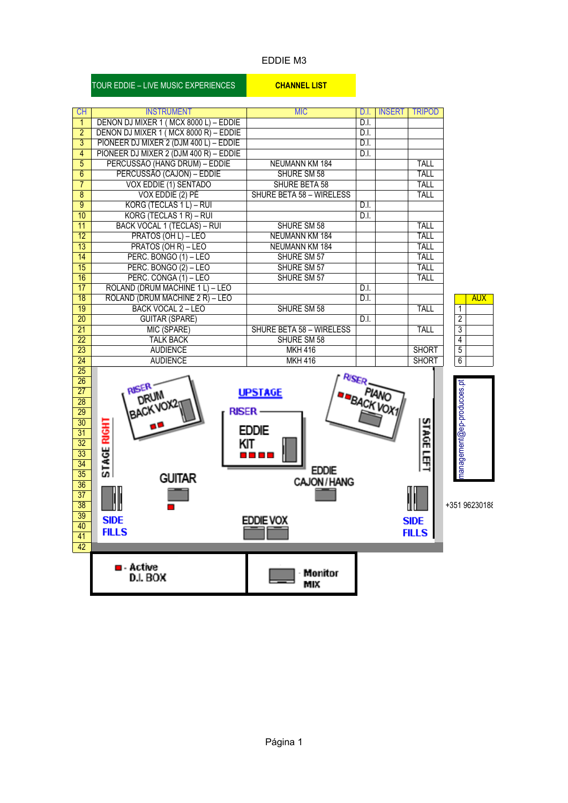#### EDDIE M3

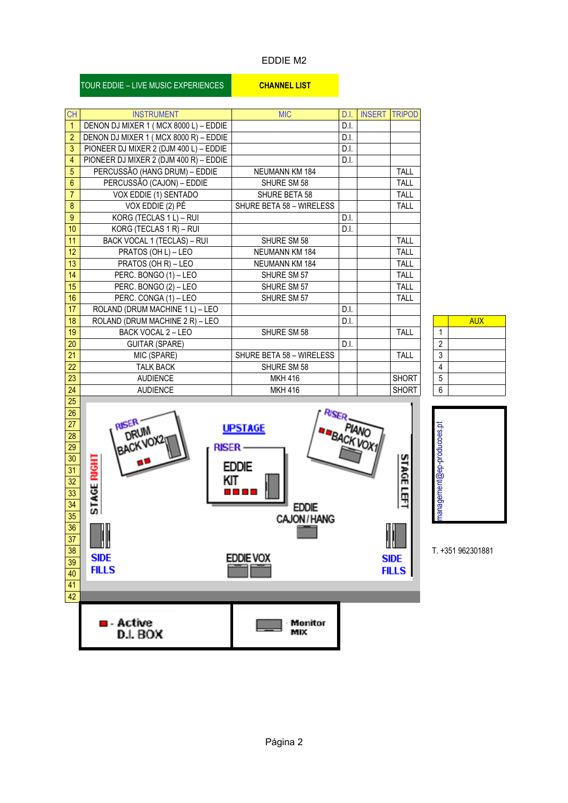#### EDDIE M2

| <b>CH</b>        | <b>INSTRUMENT</b>                      | <b>MIC</b>               | D.I. | <b>INSERT</b> | <b>TRIPOD</b> |
|------------------|----------------------------------------|--------------------------|------|---------------|---------------|
| $\mathbf{1}$     | DENON DJ MIXER 1 (MCX 8000 L) - EDDIE  |                          | D.I. |               |               |
| $\overline{2}$   | DENON DJ MIXER 1 (MCX 8000 R) - EDDIE  |                          | D.I. |               |               |
| $\overline{3}$   | PIONEER DJ MIXER 2 (DJM 400 L) - EDDIE |                          | D.I. |               |               |
| $\overline{4}$   | PIONEER DJ MIXER 2 (DJM 400 R) - EDDIE |                          | D.I. |               |               |
| $5\phantom{.0}$  | PERCUSSÃO (HANG DRUM) - EDDIE          | NEUMANN KM 184           |      |               | TALL          |
| $6\phantom{a}$   | PERCUSSÃO (CAJON) - EDDIE              | SHURE SM 58              |      |               | TALL          |
| $\overline{7}$   | VOX EDDIE (1) SENTADO                  | SHURE BETA 58            |      |               | TALL          |
| $\bf 8$          | VOX EDDIE (2) PÉ                       | SHURE BETA 58 - WIRELESS |      |               | <b>TALL</b>   |
| $\overline{9}$   | KORG (TECLAS 1 L) - RUI                |                          | D.I. |               |               |
| 10 <sup>°</sup>  | KORG (TECLAS 1 R) - RUI                |                          | D.I. |               |               |
| 11               | BACK VOCAL 1 (TECLAS) - RUI            | SHURE SM 58              |      |               | <b>TALL</b>   |
| 12 <sup>°</sup>  | PRATOS (OH L) - LEO                    | <b>NEUMANN KM 184</b>    |      |               | <b>TALL</b>   |
| 13 <sup>°</sup>  | PRATOS (OH R) - LEO                    | NEUMANN KM 184           |      |               | TALL          |
| 14               | PERC. BONGO (1) - LEO                  | SHURE SM 57              |      |               | <b>TALL</b>   |
| 15 <sup>15</sup> | PERC. BONGO (2) - LEO                  | SHURE SM 57              |      |               | <b>TALL</b>   |
| 16               | PERC. CONGA (1) - LEO                  | SHURE SM 57              |      |               | <b>TALL</b>   |
| 17 <sup>°</sup>  | ROLAND (DRUM MACHINE 1 L) - LEO        |                          | D.I. |               |               |
| 18               | ROLAND (DRUM MACHINE 2 R) - LEO        |                          | D.I. |               |               |
| 19               | BACK VOCAL 2 - LEO                     | SHURE SM 58              |      |               | <b>TALL</b>   |
| 20               | <b>GUITAR (SPARE)</b>                  |                          | D.I. |               |               |
| 21               | MIC (SPARE)                            | SHURE BETA 58 - WIRELESS |      |               | <b>TALL</b>   |
| 22               | <b>TALK BACK</b>                       | SHURE SM 58              |      |               |               |
| 23               | <b>AUDIENCE</b>                        | <b>MKH 416</b>           |      |               | <b>SHORT</b>  |
| 24               | <b>AUDIENCE</b>                        | <b>MKH 416</b>           |      |               | <b>SHORT</b>  |
|                  |                                        |                          |      |               |               |

|                         | <b>AUX</b> |
|-------------------------|------------|
|                         |            |
| $\overline{\mathbf{c}}$ |            |
| $\overline{3}$          |            |
| 4                       |            |
| $\overline{5}$          |            |
| $\overline{6}$          |            |

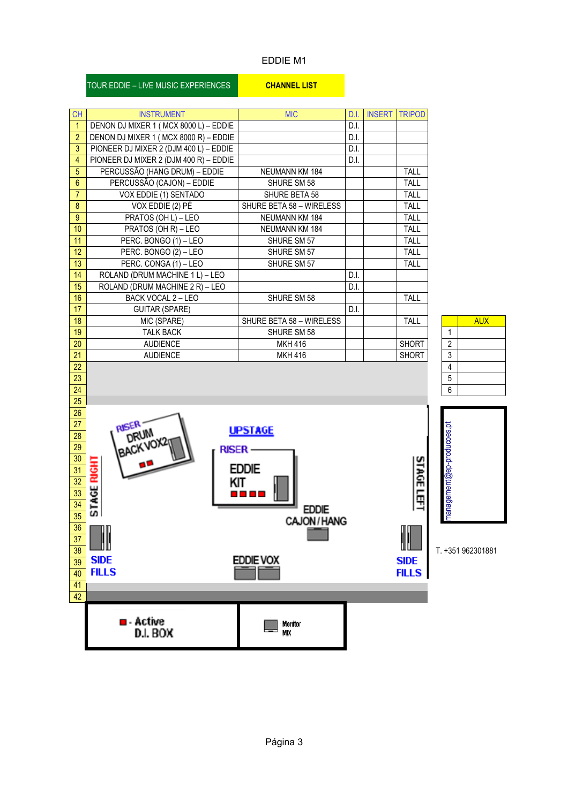## EDDIE M1

| <b>CH</b>       |                                                            | <b>MIC</b>               | D.I. | <b>INSERT TRIPOD</b> |                  |                                  |                   |
|-----------------|------------------------------------------------------------|--------------------------|------|----------------------|------------------|----------------------------------|-------------------|
| $\mathbf{1}$    | <b>INSTRUMENT</b><br>DENON DJ MIXER 1 (MCX 8000 L) - EDDIE |                          | D.I. |                      |                  |                                  |                   |
| $\overline{2}$  | DENON DJ MIXER 1 (MCX 8000 R) - EDDIE                      |                          | D.I. |                      |                  |                                  |                   |
| 3               | PIONEER DJ MIXER 2 (DJM 400 L) - EDDIE                     |                          | D.I. |                      |                  |                                  |                   |
| 4               | PIONEER DJ MIXER 2 (DJM 400 R) - EDDIE                     |                          | D.I. |                      |                  |                                  |                   |
| 5               | PERCUSSÃO (HANG DRUM) - EDDIE                              | <b>NEUMANN KM 184</b>    |      |                      | TALL             |                                  |                   |
| 6               | PERCUSSÃO (CAJON) - EDDIE                                  | SHURE SM 58              |      |                      | TALL             |                                  |                   |
| $\overline{7}$  | VOX EDDIE (1) SENTADO                                      | SHURE BETA 58            |      |                      | TALL             |                                  |                   |
| 8               | VOX EDDIE (2) PÉ                                           | SHURE BETA 58 - WIRELESS |      |                      | TALL             |                                  |                   |
| $\overline{9}$  | PRATOS (OH L) - LEO                                        | <b>NEUMANN KM 184</b>    |      |                      | TALL             |                                  |                   |
| 10              | PRATOS (OH R) - LEO                                        | NEUMANN KM 184           |      |                      | TALL             |                                  |                   |
| 11              | PERC. BONGO (1) - LEO                                      | SHURE SM 57              |      |                      | TALL             |                                  |                   |
| 12 <sup>°</sup> | PERC. BONGO (2) - LEO                                      | SHURE SM 57              |      |                      | TALL             |                                  |                   |
| 13              | PERC. CONGA (1) - LEO                                      | SHURE SM 57              |      |                      | TALL             |                                  |                   |
| 14              | ROLAND (DRUM MACHINE 1 L) - LEO                            |                          | D.I. |                      |                  |                                  |                   |
| 15              | ROLAND (DRUM MACHINE 2 R) - LEO                            |                          | D.I. |                      |                  |                                  |                   |
| 16              | BACK VOCAL 2 - LEO                                         | SHURE SM 58              |      |                      | TALL             |                                  |                   |
| 17              | <b>GUITAR (SPARE)</b>                                      |                          | D.I. |                      |                  |                                  |                   |
| 18              | MIC (SPARE)                                                | SHURE BETA 58 - WIRELESS |      |                      | TALL             |                                  | <b>AUX</b>        |
| 19              | <b>TALK BACK</b>                                           | SHURE SM 58              |      |                      |                  | $\mathbf{1}$                     |                   |
| 20              | <b>AUDIENCE</b>                                            | <b>MKH 416</b>           |      |                      | <b>SHORT</b>     | $\overline{2}$<br>$\mathfrak{Z}$ |                   |
| 21<br>22        | <b>AUDIENCE</b>                                            | <b>MKH 416</b>           |      |                      | <b>SHORT</b>     | $\overline{4}$                   |                   |
| 23              |                                                            |                          |      |                      |                  | 5                                |                   |
| 24              |                                                            |                          |      |                      |                  | 6                                |                   |
| 25 <sub>1</sub> |                                                            |                          |      |                      |                  |                                  |                   |
| 26              |                                                            |                          |      |                      |                  |                                  |                   |
| 27 <sub>2</sub> | <b>RISER</b>                                               |                          |      |                      |                  |                                  |                   |
| 28              | DRUM                                                       | <b>UPSTAGE</b>           |      |                      |                  | management@ep-producoes.pt       |                   |
| 29              | <b>BACKVOX2</b><br><b>RISER-</b>                           |                          |      |                      |                  |                                  |                   |
| $\frac{30}{ }$  |                                                            |                          |      |                      |                  |                                  |                   |
| $\overline{31}$ | <b>RIGHT</b>                                               | <b>EDDIE</b>             |      |                      | <b>STAGE LEF</b> |                                  |                   |
| $\overline{32}$ |                                                            | KIT                      |      |                      |                  |                                  |                   |
| $\overline{33}$ |                                                            | 10 D D                   |      |                      |                  |                                  |                   |
| $\frac{34}{35}$ | <b>STAGE</b>                                               | <b>EDDIE</b>             |      |                      |                  |                                  |                   |
|                 |                                                            | CAJON / HANG             |      |                      |                  |                                  |                   |
| 36              | −−⊓⊓                                                       |                          |      |                      | ╓╓               |                                  |                   |
| 37              |                                                            |                          |      |                      |                  |                                  |                   |
| 38              |                                                            |                          |      |                      |                  |                                  | T. +351 962301881 |
| 39              | <b>SIDE</b>                                                | <b>EDDIE VOX</b>         |      |                      | <b>SIDE</b>      |                                  |                   |
| 40              | <b>FILLS</b>                                               |                          |      |                      | <b>FILLS</b>     |                                  |                   |
| 41              |                                                            |                          |      |                      |                  |                                  |                   |
| 42              |                                                            |                          |      |                      |                  |                                  |                   |
|                 |                                                            |                          |      |                      |                  |                                  |                   |
|                 | $\blacksquare$ - Active<br>D.I. BOX                        | Monitor<br>MIX           |      |                      |                  |                                  |                   |
|                 |                                                            |                          |      |                      |                  |                                  |                   |
|                 |                                                            |                          |      |                      |                  |                                  |                   |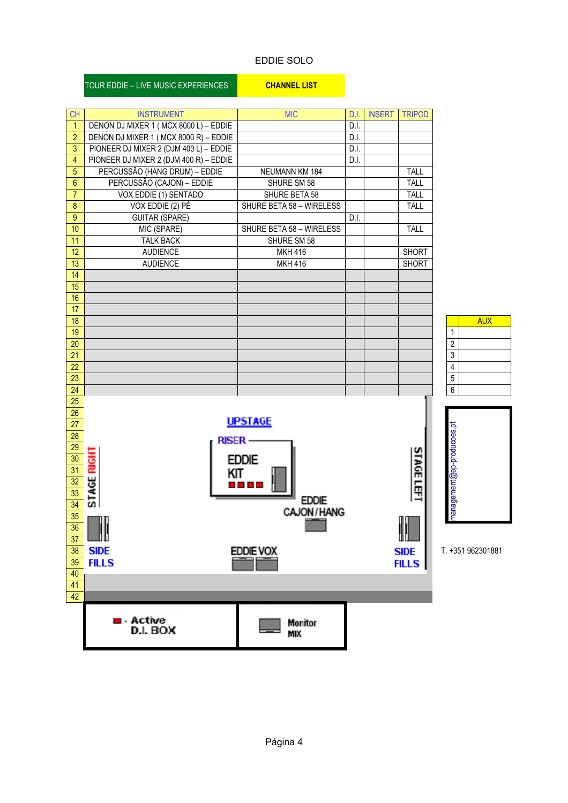### EDDIE SOLO

| <b>CH</b>             | <b>INSTRUMENT</b>                      | <b>MIC</b>               | D.I. | <b>INSERT</b> | <b>TRIPOD</b>     |                            |                   |
|-----------------------|----------------------------------------|--------------------------|------|---------------|-------------------|----------------------------|-------------------|
| $\mathbf{1}$          | DENON DJ MIXER 1 (MCX 8000 L) - EDDIE  |                          | D.I. |               |                   |                            |                   |
| $\overline{2}$        | DENON DJ MIXER 1 (MCX 8000 R) - EDDIE  |                          | D.I. |               |                   |                            |                   |
| 3                     | PIONEER DJ MIXER 2 (DJM 400 L) - EDDIE |                          | D.I. |               |                   |                            |                   |
| $\overline{4}$        | PIONEER DJ MIXER 2 (DJM 400 R) - EDDIE |                          | D.I. |               |                   |                            |                   |
| 5                     | PERCUSSÃO (HANG DRUM) - EDDIE          | NEUMANN KM 184           |      |               | <b>TALL</b>       |                            |                   |
| $6\phantom{a}$        | PERCUSSÃO (CAJON) - EDDIE              | SHURE SM 58              |      |               | TALL              |                            |                   |
| $\overline{7}$        | VOX EDDIE (1) SENTADO                  | SHURE BETA 58            |      |               | TALL              |                            |                   |
| $\bf 8$               | VOX EDDIE (2) PÉ                       | SHURE BETA 58 - WIRELESS |      |               | TALL              |                            |                   |
| 9                     | <b>GUITAR (SPARE)</b>                  |                          | D.I. |               |                   |                            |                   |
| 10                    | MIC (SPARE)                            | SHURE BETA 58 - WIRELESS |      |               | <b>TALL</b>       |                            |                   |
| 11                    | <b>TALK BACK</b>                       | SHURE SM 58              |      |               |                   |                            |                   |
| 12                    | <b>AUDIENCE</b>                        | <b>MKH 416</b>           |      |               | <b>SHORT</b>      |                            |                   |
| 13                    | <b>AUDIENCE</b>                        | <b>MKH 416</b>           |      |               | <b>SHORT</b>      |                            |                   |
| 14                    |                                        |                          |      |               |                   |                            |                   |
| 15                    |                                        |                          |      |               |                   |                            |                   |
| 16<br>17              |                                        |                          |      |               |                   |                            |                   |
| 18                    |                                        |                          |      |               |                   |                            | <b>AUX</b>        |
| 19                    |                                        |                          |      |               |                   | $\mathbf{1}$               |                   |
| 20                    |                                        |                          |      |               |                   | $\boldsymbol{2}$           |                   |
| 21                    |                                        |                          |      |               |                   | 3                          |                   |
| 22                    |                                        |                          |      |               |                   | $\sqrt{4}$                 |                   |
| 23                    |                                        |                          |      |               |                   | 5                          |                   |
| 24                    |                                        |                          |      |               |                   | $\,6\,$                    |                   |
| 25                    |                                        |                          |      |               |                   |                            |                   |
| 26 <sup>°</sup>       |                                        |                          |      |               |                   |                            |                   |
| 27                    |                                        | <b>UPSTAGE</b>           |      |               |                   |                            |                   |
| $\overline{28}$       | <b>RISER-</b>                          |                          |      |               |                   | management@ep-producoes.pt |                   |
| $\overline{29}$       |                                        |                          |      |               |                   |                            |                   |
| $\overline{30}$       | <b>STAGE RIGHT</b>                     | <b>EDDIE</b>             |      |               | <b>STAGE LEFT</b> |                            |                   |
| $\overline{31}$       | KIT                                    |                          |      |               |                   |                            |                   |
| $\overline{32}$       |                                        | 10 D D                   |      |               |                   |                            |                   |
| $\overline{33}$       |                                        | <b>EDDIE</b>             |      |               |                   |                            |                   |
| $\overline{34}$       |                                        | CAJON / HANG             |      |               |                   |                            |                   |
| 35<br>$\overline{36}$ |                                        |                          |      |               | II                |                            |                   |
| 37                    |                                        |                          |      |               |                   |                            |                   |
| 38                    | <b>SIDE</b>                            | <b>EDDIE VOX</b>         |      |               | <b>SIDE</b>       |                            | T. +351 962301881 |
| 39                    | <b>FILLS</b>                           |                          |      |               | <b>FILLS</b>      |                            |                   |
| 40                    |                                        |                          |      |               |                   |                            |                   |
| 41                    |                                        |                          |      |               |                   |                            |                   |
| 42                    |                                        |                          |      |               |                   |                            |                   |
|                       |                                        |                          |      |               |                   |                            |                   |
|                       | <b>u</b> - Active<br>D.I. BOX          | Monitor<br>MIX           |      |               |                   |                            |                   |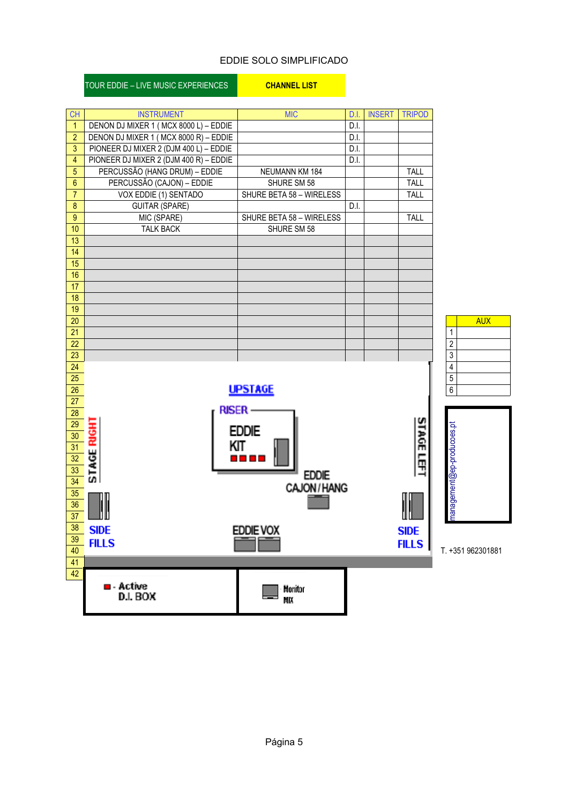## EDDIE SOLO SIMPLIFICADO

| <b>CH</b>               | <b>INSTRUMENT</b>                      | <b>MIC</b>               | D.I. | <b>INSERT</b> | <b>TRIPOD</b> |                            |
|-------------------------|----------------------------------------|--------------------------|------|---------------|---------------|----------------------------|
| $\overline{1}$          | DENON DJ MIXER 1 (MCX 8000 L) - EDDIE  |                          | D.I. |               |               |                            |
| $\overline{2}$          | DENON DJ MIXER 1 (MCX 8000 R) - EDDIE  |                          | D.I. |               |               |                            |
| 3                       | PIONEER DJ MIXER 2 (DJM 400 L) - EDDIE |                          | D.I. |               |               |                            |
| $\overline{\mathbf{4}}$ | PIONEER DJ MIXER 2 (DJM 400 R) - EDDIE |                          | D.I. |               |               |                            |
| $\overline{5}$          | PERCUSSÃO (HANG DRUM) - EDDIE          | NEUMANN KM 184           |      |               | TALL          |                            |
| $\boldsymbol{6}$        | PERCUSSÃO (CAJON) - EDDIE              | SHURE SM 58              |      |               | TALL          |                            |
| $\overline{7}$          | VOX EDDIE (1) SENTADO                  | SHURE BETA 58 - WIRELESS |      |               | TALL          |                            |
| $\bf 8$                 | <b>GUITAR (SPARE)</b>                  |                          | D.I. |               |               |                            |
| $\overline{9}$          | MIC (SPARE)                            | SHURE BETA 58 - WIRELESS |      |               | TALL          |                            |
| 10                      | <b>TALK BACK</b>                       | SHURE SM 58              |      |               |               |                            |
| 13                      |                                        |                          |      |               |               |                            |
| $\overline{14}$         |                                        |                          |      |               |               |                            |
| 15                      |                                        |                          |      |               |               |                            |
| 16                      |                                        |                          |      |               |               |                            |
| $\overline{17}$         |                                        |                          |      |               |               |                            |
| $\overline{18}$         |                                        |                          |      |               |               |                            |
| 19<br>$\overline{20}$   |                                        |                          |      |               |               |                            |
| 21                      |                                        |                          |      |               |               | <b>AUX</b><br>$\mathbf{1}$ |
| 22                      |                                        |                          |      |               |               | $\sqrt{2}$                 |
| 23                      |                                        |                          |      |               |               | $\sqrt{3}$                 |
| 24                      |                                        |                          |      |               |               | $\overline{4}$             |
| 25                      |                                        |                          |      |               |               | $\overline{5}$             |
| 26                      |                                        | <b>UPSTAGE</b>           |      |               |               | 6                          |
| 27                      |                                        |                          |      |               |               |                            |
| 28                      | <b>RISER-</b>                          |                          |      |               |               |                            |
| $\overline{29}$         |                                        |                          |      |               |               |                            |
| $\overline{30}$         | <b>STAGE RIGHT</b>                     | <b>EDDIE</b>             |      |               | <b>STAGE</b>  | management@ep-producoes.pt |
| $\overline{31}$         |                                        | KIT                      |      |               |               |                            |
| $\overline{32}$         |                                        | 8 8 8 8                  |      |               | §             |                            |
| 33                      |                                        | <b>EDDIE</b>             |      |               |               |                            |
| $\overline{34}$         |                                        | CAJON / HANG             |      |               |               |                            |
| 35                      |                                        |                          |      |               |               |                            |
| 36<br>$\overline{37}$   |                                        |                          |      |               |               |                            |
| 38                      |                                        |                          |      |               |               |                            |
| 39                      | <b>SIDE</b>                            | EDDIE VOX                |      |               | <b>SIDE</b>   |                            |
| 40                      | <b>FILLS</b>                           |                          |      |               | <b>FILLS</b>  | T. +351 962301881          |
| 41                      |                                        |                          |      |               |               |                            |
| 42                      |                                        |                          |      |               |               |                            |
|                         | $\blacksquare$ - Active                | Monitor                  |      |               |               |                            |
|                         | D.I. BOX                               | МK                       |      |               |               |                            |
|                         |                                        |                          |      |               |               |                            |